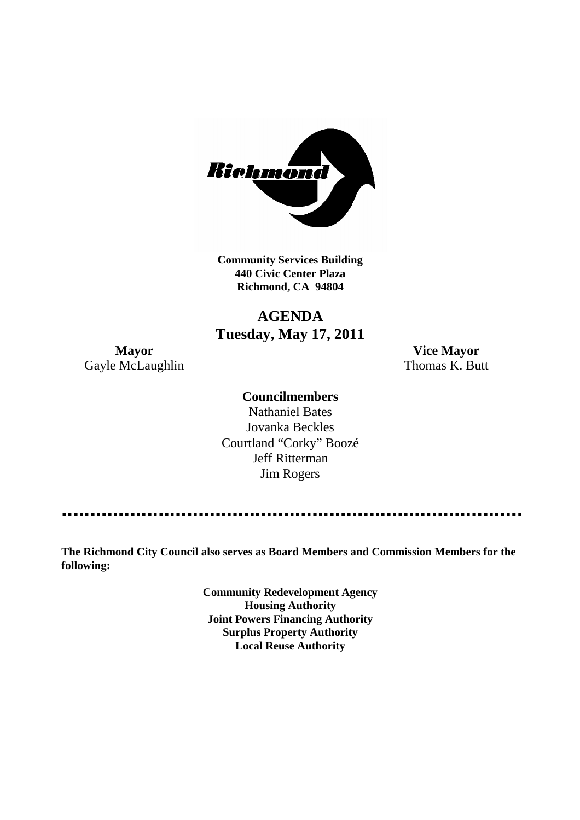

**Community Services Building 440 Civic Center Plaza Richmond, CA 94804**

# **AGENDA Tuesday, May 17, 2011**

Gayle McLaughlin Thomas K. Butt

**Mayor Vice Mayor**

# **Councilmembers**

Nathaniel Bates Jovanka Beckles Courtland "Corky" Boozé Jeff Ritterman Jim Rogers

**The Richmond City Council also serves as Board Members and Commission Members for the following:**

> **Community Redevelopment Agency Housing Authority Joint Powers Financing Authority Surplus Property Authority Local Reuse Authority**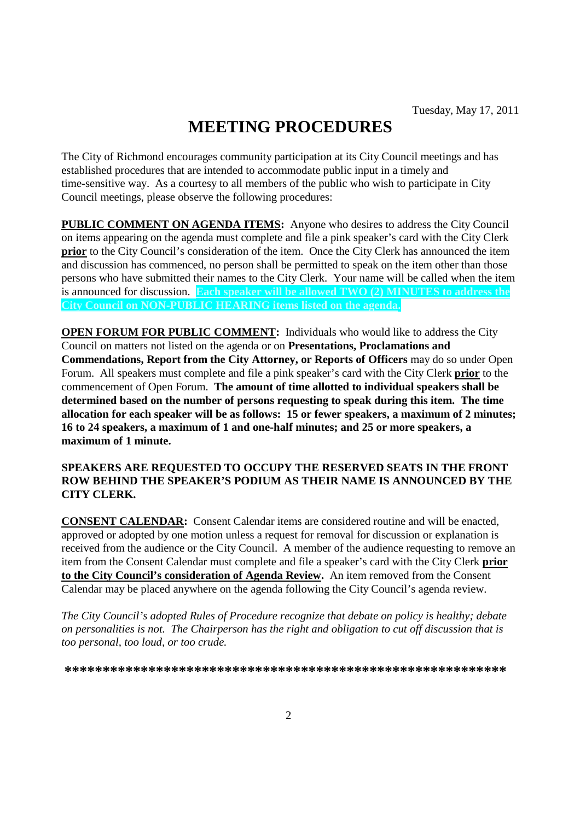# **MEETING PROCEDURES**

The City of Richmond encourages community participation at its City Council meetings and has established procedures that are intended to accommodate public input in a timely and time-sensitive way. As a courtesy to all members of the public who wish to participate in City Council meetings, please observe the following procedures:

**PUBLIC COMMENT ON AGENDA ITEMS:** Anyone who desires to address the City Council on items appearing on the agenda must complete and file a pink speaker's card with the City Clerk **prior** to the City Council's consideration of the item. Once the City Clerk has announced the item and discussion has commenced, no person shall be permitted to speak on the item other than those persons who have submitted their names to the City Clerk. Your name will be called when the item is announced for discussion. **Each speaker will be allowed TWO (2) MINUTES to address the City Council on NON-PUBLIC HEARING items listed on the agenda.**

**OPEN FORUM FOR PUBLIC COMMENT:** Individuals who would like to address the City Council on matters not listed on the agenda or on **Presentations, Proclamations and Commendations, Report from the City Attorney, or Reports of Officers** may do so under Open Forum. All speakers must complete and file a pink speaker's card with the City Clerk **prior** to the commencement of Open Forum. **The amount of time allotted to individual speakers shall be determined based on the number of persons requesting to speak during this item. The time allocation for each speaker will be as follows: 15 or fewer speakers, a maximum of 2 minutes; 16 to 24 speakers, a maximum of 1 and one-half minutes; and 25 or more speakers, a maximum of 1 minute.**

#### **SPEAKERS ARE REQUESTED TO OCCUPY THE RESERVED SEATS IN THE FRONT ROW BEHIND THE SPEAKER'S PODIUM AS THEIR NAME IS ANNOUNCED BY THE CITY CLERK.**

**CONSENT CALENDAR:** Consent Calendar items are considered routine and will be enacted, approved or adopted by one motion unless a request for removal for discussion or explanation is received from the audience or the City Council. A member of the audience requesting to remove an item from the Consent Calendar must complete and file a speaker's card with the City Clerk **prior to the City Council's consideration of Agenda Review.** An item removed from the Consent Calendar may be placed anywhere on the agenda following the City Council's agenda review.

*The City Council's adopted Rules of Procedure recognize that debate on policy is healthy; debate on personalities is not. The Chairperson has the right and obligation to cut off discussion that is too personal, too loud, or too crude.*

**\*\*\*\*\*\*\*\*\*\*\*\*\*\*\*\*\*\*\*\*\*\*\*\*\*\*\*\*\*\*\*\*\*\*\*\*\*\*\*\*\*\*\*\*\*\*\*\*\*\*\*\*\*\*\*\*\*\***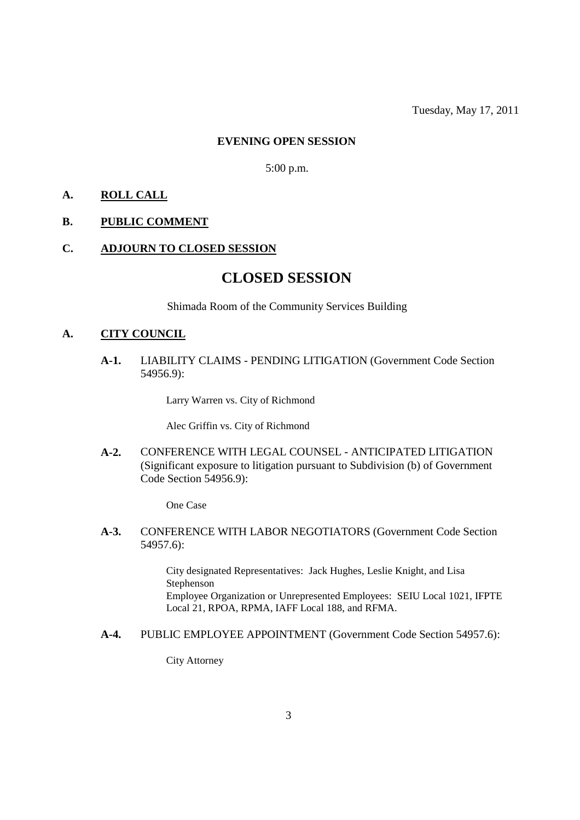#### **EVENING OPEN SESSION**

5:00 p.m.

#### **A. ROLL CALL**

#### **B. PUBLIC COMMENT**

#### **C. ADJOURN TO CLOSED SESSION**

# **CLOSED SESSION**

Shimada Room of the Community Services Building

#### **A. CITY COUNCIL**

**A-1.** LIABILITY CLAIMS - PENDING LITIGATION (Government Code Section 54956.9):

Larry Warren vs. City of Richmond

Alec Griffin vs. City of Richmond

**A-2.** CONFERENCE WITH LEGAL COUNSEL - ANTICIPATED LITIGATION (Significant exposure to litigation pursuant to Subdivision (b) of Government Code Section 54956.9):

One Case

**A-3.** CONFERENCE WITH LABOR NEGOTIATORS (Government Code Section 54957.6):

> City designated Representatives: Jack Hughes, Leslie Knight, and Lisa Stephenson Employee Organization or Unrepresented Employees: SEIU Local 1021, IFPTE Local 21, RPOA, RPMA, IAFF Local 188, and RFMA.

**A-4.** PUBLIC EMPLOYEE APPOINTMENT (Government Code Section 54957.6):

City Attorney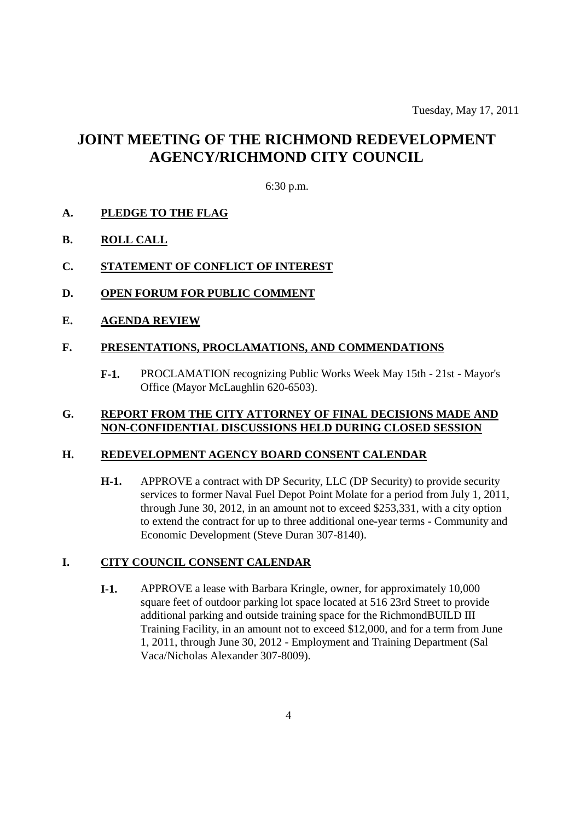# **JOINT MEETING OF THE RICHMOND REDEVELOPMENT AGENCY/RICHMOND CITY COUNCIL**

#### 6:30 p.m.

# **A. PLEDGE TO THE FLAG**

# **B. ROLL CALL**

# **C. STATEMENT OF CONFLICT OF INTEREST**

- **D. OPEN FORUM FOR PUBLIC COMMENT**
- **E. AGENDA REVIEW**

#### **F. PRESENTATIONS, PROCLAMATIONS, AND COMMENDATIONS**

**F-1.** PROCLAMATION recognizing Public Works Week May 15th - 21st - Mayor's Office (Mayor McLaughlin 620-6503).

#### **G. REPORT FROM THE CITY ATTORNEY OF FINAL DECISIONS MADE AND NON-CONFIDENTIAL DISCUSSIONS HELD DURING CLOSED SESSION**

#### **H. REDEVELOPMENT AGENCY BOARD CONSENT CALENDAR**

**H-1.** APPROVE a contract with DP Security, LLC (DP Security) to provide security services to former Naval Fuel Depot Point Molate for a period from July 1, 2011, through June 30, 2012, in an amount not to exceed \$253,331, with a city option to extend the contract for up to three additional one-year terms - Community and Economic Development (Steve Duran 307-8140).

# **I. CITY COUNCIL CONSENT CALENDAR**

**I-1.** APPROVE a lease with Barbara Kringle, owner, for approximately 10,000 square feet of outdoor parking lot space located at 516 23rd Street to provide additional parking and outside training space for the RichmondBUILD III Training Facility, in an amount not to exceed \$12,000, and for a term from June 1, 2011, through June 30, 2012 - Employment and Training Department (Sal Vaca/Nicholas Alexander 307-8009).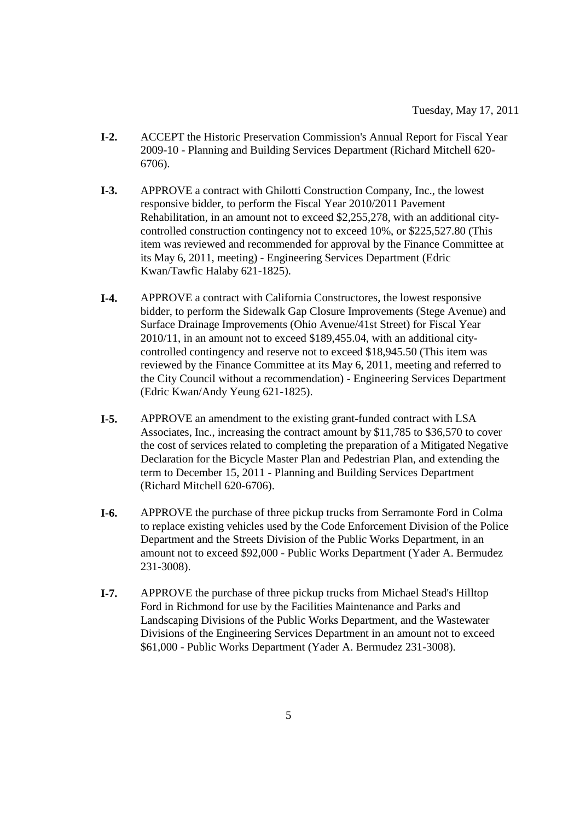- **I-2.** ACCEPT the Historic Preservation Commission's Annual Report for Fiscal Year 2009-10 - Planning and Building Services Department (Richard Mitchell 620- 6706).
- **I-3.** APPROVE a contract with Ghilotti Construction Company, Inc., the lowest responsive bidder, to perform the Fiscal Year 2010/2011 Pavement Rehabilitation, in an amount not to exceed \$2,255,278, with an additional citycontrolled construction contingency not to exceed 10%, or \$225,527.80 (This item was reviewed and recommended for approval by the Finance Committee at its May 6, 2011, meeting) - Engineering Services Department (Edric Kwan/Tawfic Halaby 621-1825).
- **I-4.** APPROVE a contract with California Constructores, the lowest responsive bidder, to perform the Sidewalk Gap Closure Improvements (Stege Avenue) and Surface Drainage Improvements (Ohio Avenue/41st Street) for Fiscal Year 2010/11, in an amount not to exceed \$189,455.04, with an additional citycontrolled contingency and reserve not to exceed \$18,945.50 (This item was reviewed by the Finance Committee at its May 6, 2011, meeting and referred to the City Council without a recommendation) - Engineering Services Department (Edric Kwan/Andy Yeung 621-1825).
- **I-5.** APPROVE an amendment to the existing grant-funded contract with LSA Associates, Inc., increasing the contract amount by \$11,785 to \$36,570 to cover the cost of services related to completing the preparation of a Mitigated Negative Declaration for the Bicycle Master Plan and Pedestrian Plan, and extending the term to December 15, 2011 - Planning and Building Services Department (Richard Mitchell 620-6706).
- **I-6.** APPROVE the purchase of three pickup trucks from Serramonte Ford in Colma to replace existing vehicles used by the Code Enforcement Division of the Police Department and the Streets Division of the Public Works Department, in an amount not to exceed \$92,000 - Public Works Department (Yader A. Bermudez 231-3008).
- **I-7.** APPROVE the purchase of three pickup trucks from Michael Stead's Hilltop Ford in Richmond for use by the Facilities Maintenance and Parks and Landscaping Divisions of the Public Works Department, and the Wastewater Divisions of the Engineering Services Department in an amount not to exceed \$61,000 - Public Works Department (Yader A. Bermudez 231-3008).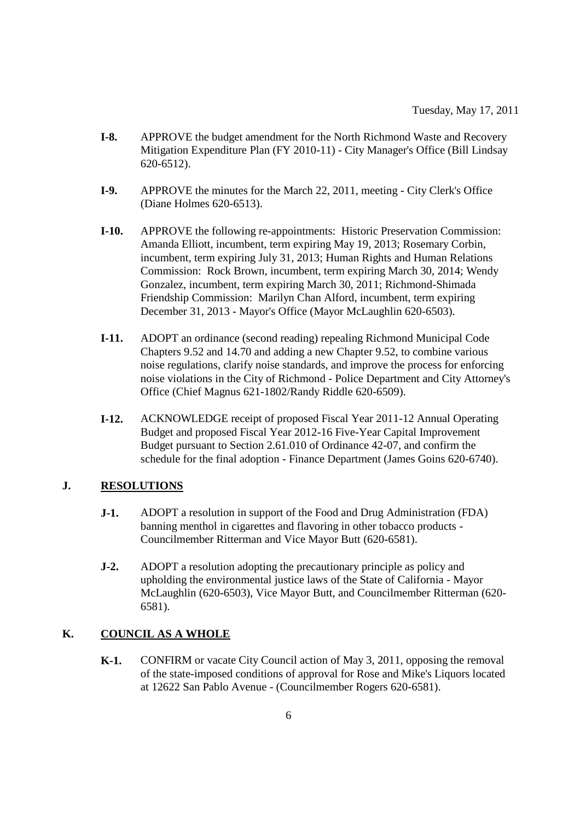- **I-8.** APPROVE the budget amendment for the North Richmond Waste and Recovery Mitigation Expenditure Plan (FY 2010-11) - City Manager's Office (Bill Lindsay 620-6512).
- **I-9.** APPROVE the minutes for the March 22, 2011, meeting City Clerk's Office (Diane Holmes 620-6513).
- **I-10.** APPROVE the following re-appointments: Historic Preservation Commission: Amanda Elliott, incumbent, term expiring May 19, 2013; Rosemary Corbin, incumbent, term expiring July 31, 2013; Human Rights and Human Relations Commission: Rock Brown, incumbent, term expiring March 30, 2014; Wendy Gonzalez, incumbent, term expiring March 30, 2011; Richmond-Shimada Friendship Commission: Marilyn Chan Alford, incumbent, term expiring December 31, 2013 - Mayor's Office (Mayor McLaughlin 620-6503).
- **I-11.** ADOPT an ordinance (second reading) repealing Richmond Municipal Code Chapters 9.52 and 14.70 and adding a new Chapter 9.52, to combine various noise regulations, clarify noise standards, and improve the process for enforcing noise violations in the City of Richmond - Police Department and City Attorney's Office (Chief Magnus 621-1802/Randy Riddle 620-6509).
- **I-12.** ACKNOWLEDGE receipt of proposed Fiscal Year 2011-12 Annual Operating Budget and proposed Fiscal Year 2012-16 Five-Year Capital Improvement Budget pursuant to Section 2.61.010 of Ordinance 42-07, and confirm the schedule for the final adoption - Finance Department (James Goins 620-6740).

# **J. RESOLUTIONS**

- **J-1.** ADOPT a resolution in support of the Food and Drug Administration (FDA) banning menthol in cigarettes and flavoring in other tobacco products - Councilmember Ritterman and Vice Mayor Butt (620-6581).
- **J-2.** ADOPT a resolution adopting the precautionary principle as policy and upholding the environmental justice laws of the State of California - Mayor McLaughlin (620-6503), Vice Mayor Butt, and Councilmember Ritterman (620- 6581).

# **K. COUNCIL AS A WHOLE**

**K-1.** CONFIRM or vacate City Council action of May 3, 2011, opposing the removal of the state-imposed conditions of approval for Rose and Mike's Liquors located at 12622 San Pablo Avenue - (Councilmember Rogers 620-6581).